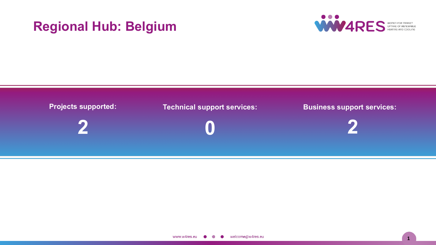# **Regional Hub: Belgium**



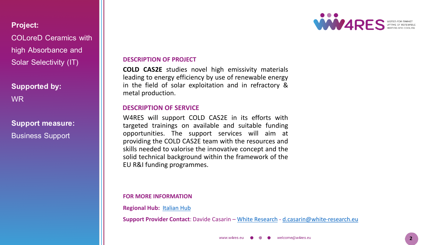# **Project:**

COLoreD Ceramics with high Absorbance and Solar Selectivity (IT)

# **Supported by:** WR

**Support measure: Business Support** 

### **DESCRIPTION OF PROJECT**

**COLD CAS2E** studies novel high emissivity materials leading to energy efficiency by use of renewable energy in the field of solar exploitation and in refractory & metal production.

# **DESCRIPTION OF SERVICE**

W4RES will support COLD CAS2E in its efforts with targeted trainings on available and suitable funding opportunities. The support services will aim at providing the COLD CAS2E team with the resources and skills needed to valorise the innovative concept and the solid technical background within the framework of the EU R&I funding programmes.

### **FOR MORE INFORMATION**

**Regional Hub:** [Italian](https://w4resobservatory.eu/regional-hubs/hub-italy/) Hub

**Support Provider Contact**: Davide Casarin – White [Research](white-research.eu) - [d.casarin@white-research.eu](mailto:d.casarin@white-research.eu)